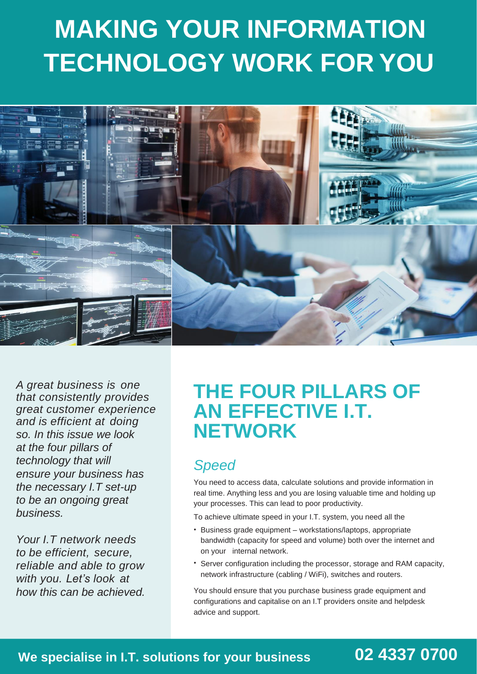# **MAKING YOUR INFORMATION TECHNOLOGY WORK FOR YOU**



*A great business is one that consistently provides great customer experience and is efficient at doing so. In this issue we look at the four pillars of technology that will ensure your business has the necessary I.T set-up to be an ongoing great business.*

*Your I.T network needs to be efficient, secure, reliable and able to grow with you. Let's look at how this can be achieved.*

### **THE FOUR PILLARS OF AN EFFECTIVE I.T. NETWORK**

#### *Speed*

You need to access data, calculate solutions and provide information in real time. Anything less and you are losing valuable time and holding up your processes. This can lead to poor productivity.

To achieve ultimate speed in your I.T. system, you need all the

- Business grade equipment workstations/laptops, appropriate bandwidth (capacity for speed and volume) both over the internet and on your internal network.
- Server configuration including the processor, storage and RAM capacity, network infrastructure (cabling / WiFi), switches and routers.

You should ensure that you purchase business grade equipment and configurations and capitalise on an I.T providers onsite and helpdesk advice and support.

#### **We specialise in I.T. solutions for your business 02 4337 0700**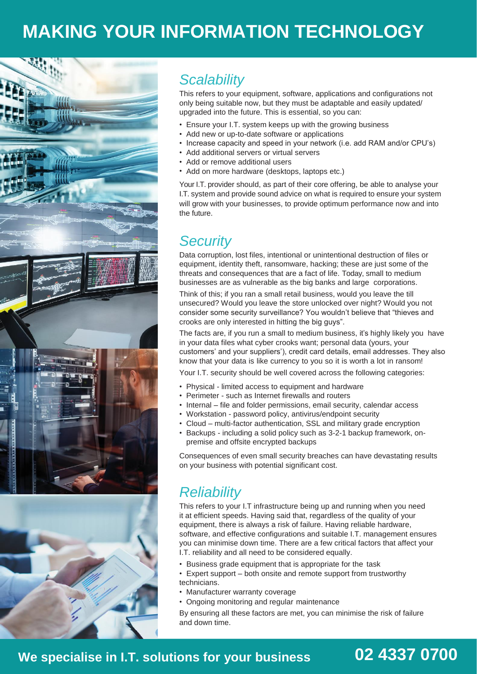### **MAKING YOUR INFORMATION TECHNOLOGY**



#### *Scalability*

This refers to your equipment, software, applications and configurations not only being suitable now, but they must be adaptable and easily updated/ upgraded into the future. This is essential, so you can:

- Ensure your I.T. system keeps up with the growing business
- Add new or up-to-date software or applications
- Increase capacity and speed in your network (i.e. add RAM and/or CPU's)
- Add additional servers or virtual servers
- Add or remove additional users
- Add on more hardware (desktops, laptops etc.)

Your I.T. provider should, as part of their core offering, be able to analyse your I.T. system and provide sound advice on what is required to ensure your system will grow with your businesses, to provide optimum performance now and into the future.

#### *Security*

Data corruption, lost files, intentional or unintentional destruction of files or equipment, identity theft, ransomware, hacking; these are just some of the threats and consequences that are a fact of life. Today, small to medium businesses are as vulnerable as the big banks and large corporations.

Think of this; if you ran a small retail business, would you leave the till unsecured? Would you leave the store unlocked over night? Would you not consider some security surveillance? You wouldn't believe that "thieves and crooks are only interested in hitting the big guys".

The facts are, if you run a small to medium business, it's highly likely you have in your data files what cyber crooks want; personal data (yours, your customers' and your suppliers'), credit card details, email addresses. They also know that your data is like currency to you so it is worth a lot in ransom!

Your I.T. security should be well covered across the following categories:

- Physical limited access to equipment and hardware
- Perimeter such as Internet firewalls and routers
- Internal file and folder permissions, email security, calendar access
- Workstation password policy, antivirus/endpoint security
- Cloud multi-factor authentication, SSL and military grade encryption
- Backups including a solid policy such as 3-2-1 backup framework, onpremise and offsite encrypted backups

Consequences of even small security breaches can have devastating results on your business with potential significant cost.

#### *Reliability*

This refers to your I.T infrastructure being up and running when you need it at efficient speeds. Having said that, regardless of the quality of your equipment, there is always a risk of failure. Having reliable hardware, software, and effective configurations and suitable I.T. management ensures you can minimise down time. There are a few critical factors that affect your I.T. reliability and all need to be considered equally.

- Business grade equipment that is appropriate for the task
- Expert support both onsite and remote support from trustworthy technicians.
- Manufacturer warranty coverage
- Ongoing monitoring and regular maintenance

By ensuring all these factors are met, you can minimise the risk of failure and down time.

#### **We specialise in I.T. solutions for your business 02 4337 0700**